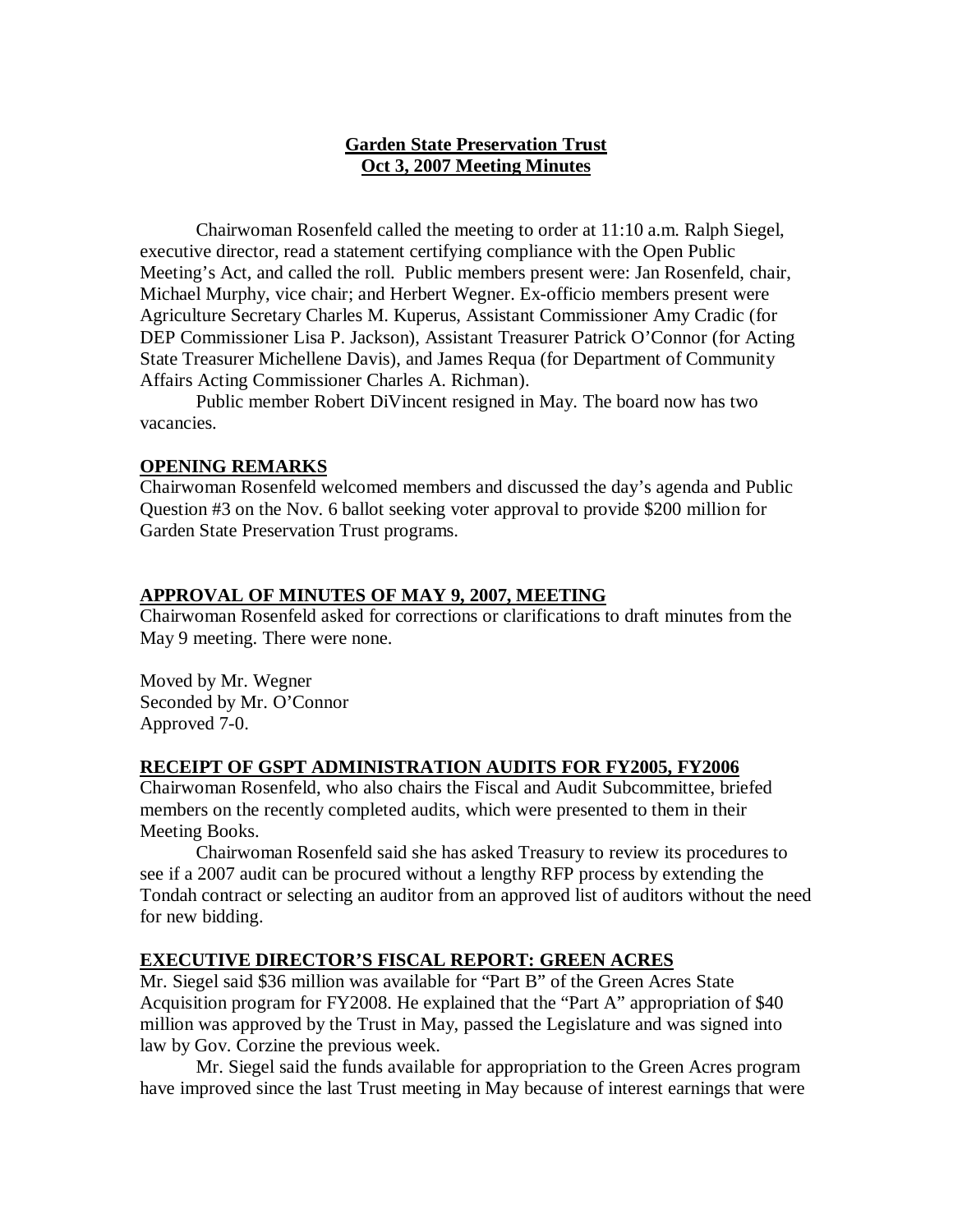# **Garden State Preservation Trust Oct 3, 2007 Meeting Minutes**

Chairwoman Rosenfeld called the meeting to order at 11:10 a.m. Ralph Siegel, executive director, read a statement certifying compliance with the Open Public Meeting's Act, and called the roll. Public members present were: Jan Rosenfeld, chair, Michael Murphy, vice chair; and Herbert Wegner. Ex-officio members present were Agriculture Secretary Charles M. Kuperus, Assistant Commissioner Amy Cradic (for DEP Commissioner Lisa P. Jackson), Assistant Treasurer Patrick O'Connor (for Acting State Treasurer Michellene Davis), and James Requa (for Department of Community Affairs Acting Commissioner Charles A. Richman).

Public member Robert DiVincent resigned in May. The board now has two vacancies.

# **OPENING REMARKS**

Chairwoman Rosenfeld welcomed members and discussed the day's agenda and Public Question #3 on the Nov. 6 ballot seeking voter approval to provide \$200 million for Garden State Preservation Trust programs.

## **APPROVAL OF MINUTES OF MAY 9, 2007, MEETING**

Chairwoman Rosenfeld asked for corrections or clarifications to draft minutes from the May 9 meeting. There were none.

Moved by Mr. Wegner Seconded by Mr. O'Connor Approved 7-0.

# **RECEIPT OF GSPT ADMINISTRATION AUDITS FOR FY2005, FY2006**

Chairwoman Rosenfeld, who also chairs the Fiscal and Audit Subcommittee, briefed members on the recently completed audits, which were presented to them in their Meeting Books.

Chairwoman Rosenfeld said she has asked Treasury to review its procedures to see if a 2007 audit can be procured without a lengthy RFP process by extending the Tondah contract or selecting an auditor from an approved list of auditors without the need for new bidding.

# **EXECUTIVE DIRECTOR'S FISCAL REPORT: GREEN ACRES**

Mr. Siegel said \$36 million was available for "Part B" of the Green Acres State Acquisition program for FY2008. He explained that the "Part A" appropriation of \$40 million was approved by the Trust in May, passed the Legislature and was signed into law by Gov. Corzine the previous week.

Mr. Siegel said the funds available for appropriation to the Green Acres program have improved since the last Trust meeting in May because of interest earnings that were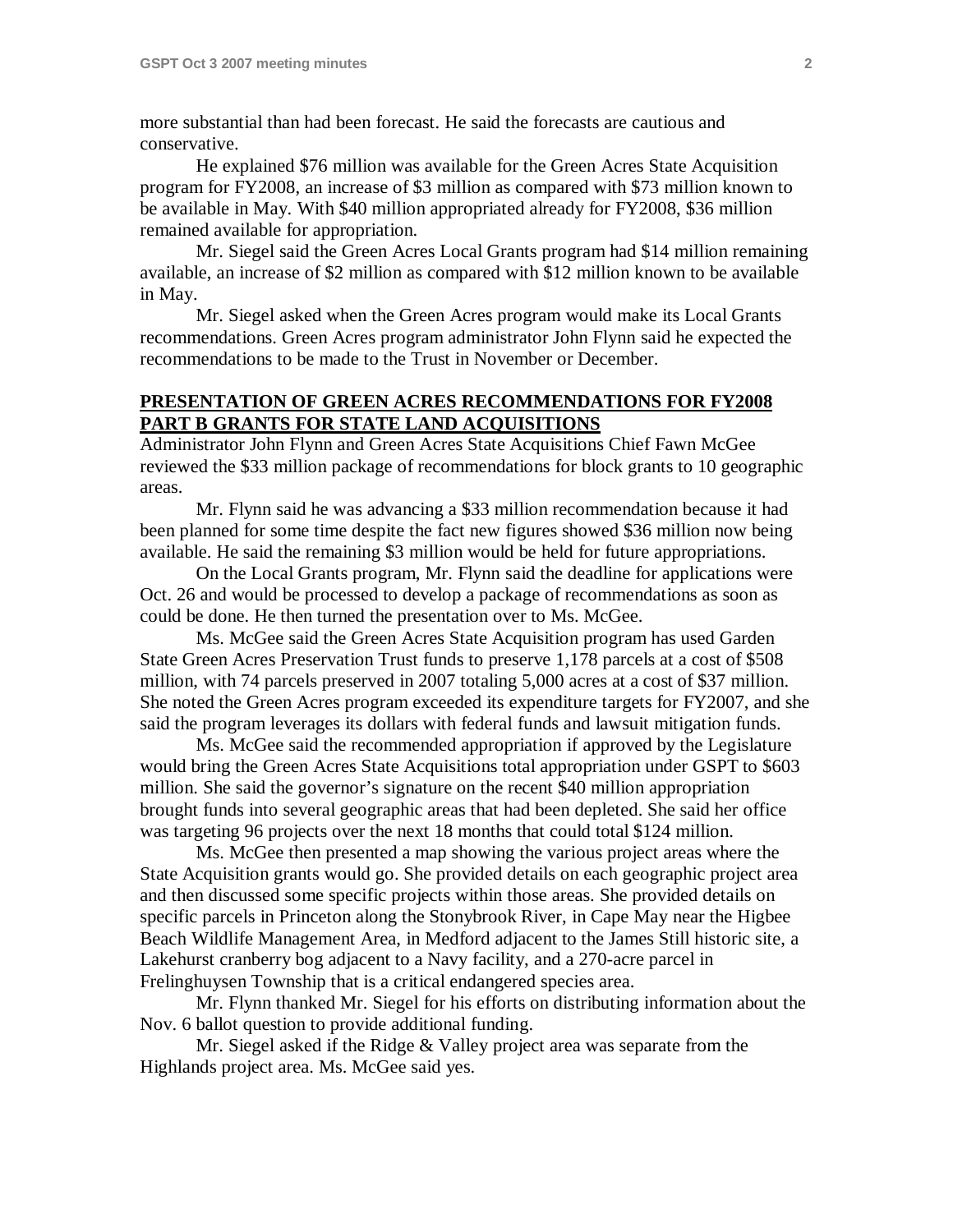more substantial than had been forecast. He said the forecasts are cautious and conservative.

He explained \$76 million was available for the Green Acres State Acquisition program for FY2008, an increase of \$3 million as compared with \$73 million known to be available in May. With \$40 million appropriated already for FY2008, \$36 million remained available for appropriation.

Mr. Siegel said the Green Acres Local Grants program had \$14 million remaining available, an increase of \$2 million as compared with \$12 million known to be available in May.

Mr. Siegel asked when the Green Acres program would make its Local Grants recommendations. Green Acres program administrator John Flynn said he expected the recommendations to be made to the Trust in November or December.

# **PRESENTATION OF GREEN ACRES RECOMMENDATIONS FOR FY2008 PART B GRANTS FOR STATE LAND ACQUISITIONS**

Administrator John Flynn and Green Acres State Acquisitions Chief Fawn McGee reviewed the \$33 million package of recommendations for block grants to 10 geographic areas.

Mr. Flynn said he was advancing a \$33 million recommendation because it had been planned for some time despite the fact new figures showed \$36 million now being available. He said the remaining \$3 million would be held for future appropriations.

On the Local Grants program, Mr. Flynn said the deadline for applications were Oct. 26 and would be processed to develop a package of recommendations as soon as could be done. He then turned the presentation over to Ms. McGee.

Ms. McGee said the Green Acres State Acquisition program has used Garden State Green Acres Preservation Trust funds to preserve 1,178 parcels at a cost of \$508 million, with 74 parcels preserved in 2007 totaling 5,000 acres at a cost of \$37 million. She noted the Green Acres program exceeded its expenditure targets for FY2007, and she said the program leverages its dollars with federal funds and lawsuit mitigation funds.

Ms. McGee said the recommended appropriation if approved by the Legislature would bring the Green Acres State Acquisitions total appropriation under GSPT to \$603 million. She said the governor's signature on the recent \$40 million appropriation brought funds into several geographic areas that had been depleted. She said her office was targeting 96 projects over the next 18 months that could total \$124 million.

Ms. McGee then presented a map showing the various project areas where the State Acquisition grants would go. She provided details on each geographic project area and then discussed some specific projects within those areas. She provided details on specific parcels in Princeton along the Stonybrook River, in Cape May near the Higbee Beach Wildlife Management Area, in Medford adjacent to the James Still historic site, a Lakehurst cranberry bog adjacent to a Navy facility, and a 270-acre parcel in Frelinghuysen Township that is a critical endangered species area.

Mr. Flynn thanked Mr. Siegel for his efforts on distributing information about the Nov. 6 ballot question to provide additional funding.

Mr. Siegel asked if the Ridge & Valley project area was separate from the Highlands project area. Ms. McGee said yes.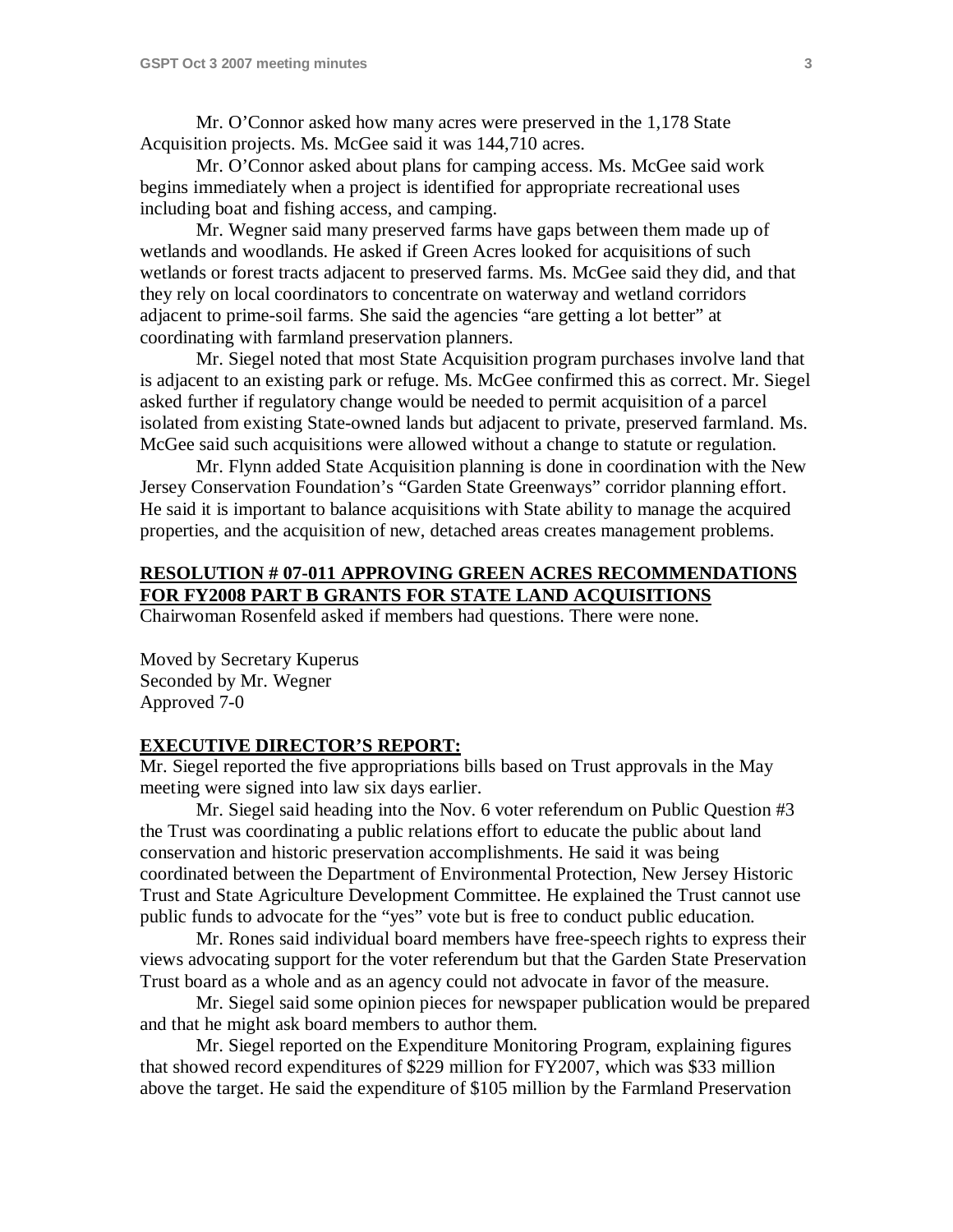Mr. O'Connor asked how many acres were preserved in the 1,178 State Acquisition projects. Ms. McGee said it was 144,710 acres.

Mr. O'Connor asked about plans for camping access. Ms. McGee said work begins immediately when a project is identified for appropriate recreational uses including boat and fishing access, and camping.

Mr. Wegner said many preserved farms have gaps between them made up of wetlands and woodlands. He asked if Green Acres looked for acquisitions of such wetlands or forest tracts adjacent to preserved farms. Ms. McGee said they did, and that they rely on local coordinators to concentrate on waterway and wetland corridors adjacent to prime-soil farms. She said the agencies "are getting a lot better" at coordinating with farmland preservation planners.

Mr. Siegel noted that most State Acquisition program purchases involve land that is adjacent to an existing park or refuge. Ms. McGee confirmed this as correct. Mr. Siegel asked further if regulatory change would be needed to permit acquisition of a parcel isolated from existing State-owned lands but adjacent to private, preserved farmland. Ms. McGee said such acquisitions were allowed without a change to statute or regulation.

Mr. Flynn added State Acquisition planning is done in coordination with the New Jersey Conservation Foundation's "Garden State Greenways" corridor planning effort. He said it is important to balance acquisitions with State ability to manage the acquired properties, and the acquisition of new, detached areas creates management problems.

# **RESOLUTION # 07-011 APPROVING GREEN ACRES RECOMMENDATIONS FOR FY2008 PART B GRANTS FOR STATE LAND ACQUISITIONS**

Chairwoman Rosenfeld asked if members had questions. There were none.

Moved by Secretary Kuperus Seconded by Mr. Wegner Approved 7-0

## **EXECUTIVE DIRECTOR'S REPORT:**

Mr. Siegel reported the five appropriations bills based on Trust approvals in the May meeting were signed into law six days earlier.

Mr. Siegel said heading into the Nov. 6 voter referendum on Public Question #3 the Trust was coordinating a public relations effort to educate the public about land conservation and historic preservation accomplishments. He said it was being coordinated between the Department of Environmental Protection, New Jersey Historic Trust and State Agriculture Development Committee. He explained the Trust cannot use public funds to advocate for the "yes" vote but is free to conduct public education.

Mr. Rones said individual board members have free-speech rights to express their views advocating support for the voter referendum but that the Garden State Preservation Trust board as a whole and as an agency could not advocate in favor of the measure.

Mr. Siegel said some opinion pieces for newspaper publication would be prepared and that he might ask board members to author them.

Mr. Siegel reported on the Expenditure Monitoring Program, explaining figures that showed record expenditures of \$229 million for FY2007, which was \$33 million above the target. He said the expenditure of \$105 million by the Farmland Preservation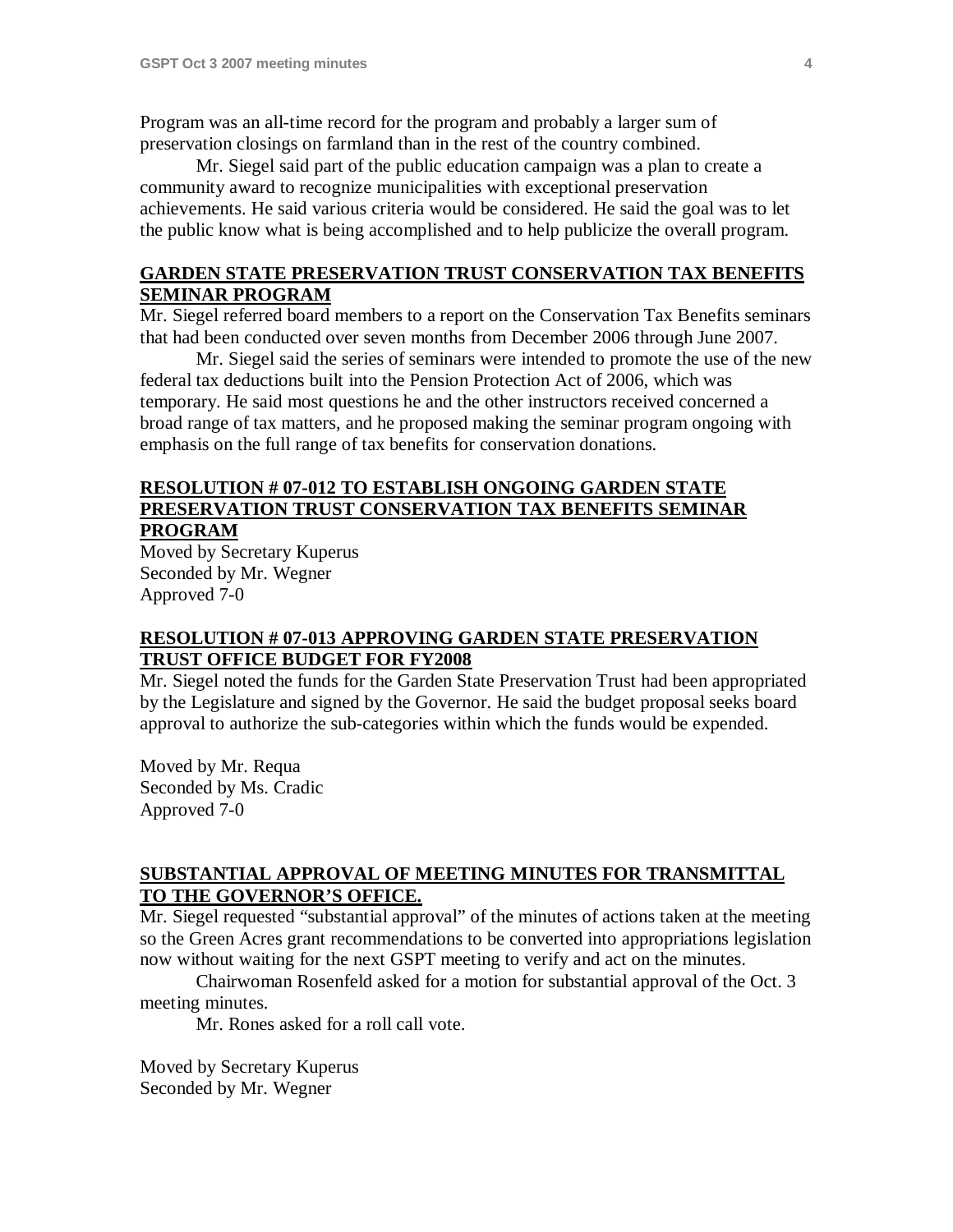Program was an all-time record for the program and probably a larger sum of preservation closings on farmland than in the rest of the country combined.

Mr. Siegel said part of the public education campaign was a plan to create a community award to recognize municipalities with exceptional preservation achievements. He said various criteria would be considered. He said the goal was to let the public know what is being accomplished and to help publicize the overall program.

## **GARDEN STATE PRESERVATION TRUST CONSERVATION TAX BENEFITS SEMINAR PROGRAM**

Mr. Siegel referred board members to a report on the Conservation Tax Benefits seminars that had been conducted over seven months from December 2006 through June 2007.

Mr. Siegel said the series of seminars were intended to promote the use of the new federal tax deductions built into the Pension Protection Act of 2006, which was temporary. He said most questions he and the other instructors received concerned a broad range of tax matters, and he proposed making the seminar program ongoing with emphasis on the full range of tax benefits for conservation donations.

## **RESOLUTION # 07-012 TO ESTABLISH ONGOING GARDEN STATE PRESERVATION TRUST CONSERVATION TAX BENEFITS SEMINAR PROGRAM**

Moved by Secretary Kuperus Seconded by Mr. Wegner Approved 7-0

# **RESOLUTION # 07-013 APPROVING GARDEN STATE PRESERVATION TRUST OFFICE BUDGET FOR FY2008**

Mr. Siegel noted the funds for the Garden State Preservation Trust had been appropriated by the Legislature and signed by the Governor. He said the budget proposal seeks board approval to authorize the sub-categories within which the funds would be expended.

Moved by Mr. Requa Seconded by Ms. Cradic Approved 7-0

# **SUBSTANTIAL APPROVAL OF MEETING MINUTES FOR TRANSMITTAL TO THE GOVERNOR'S OFFICE.**

Mr. Siegel requested "substantial approval" of the minutes of actions taken at the meeting so the Green Acres grant recommendations to be converted into appropriations legislation now without waiting for the next GSPT meeting to verify and act on the minutes.

Chairwoman Rosenfeld asked for a motion for substantial approval of the Oct. 3 meeting minutes.

Mr. Rones asked for a roll call vote.

Moved by Secretary Kuperus Seconded by Mr. Wegner